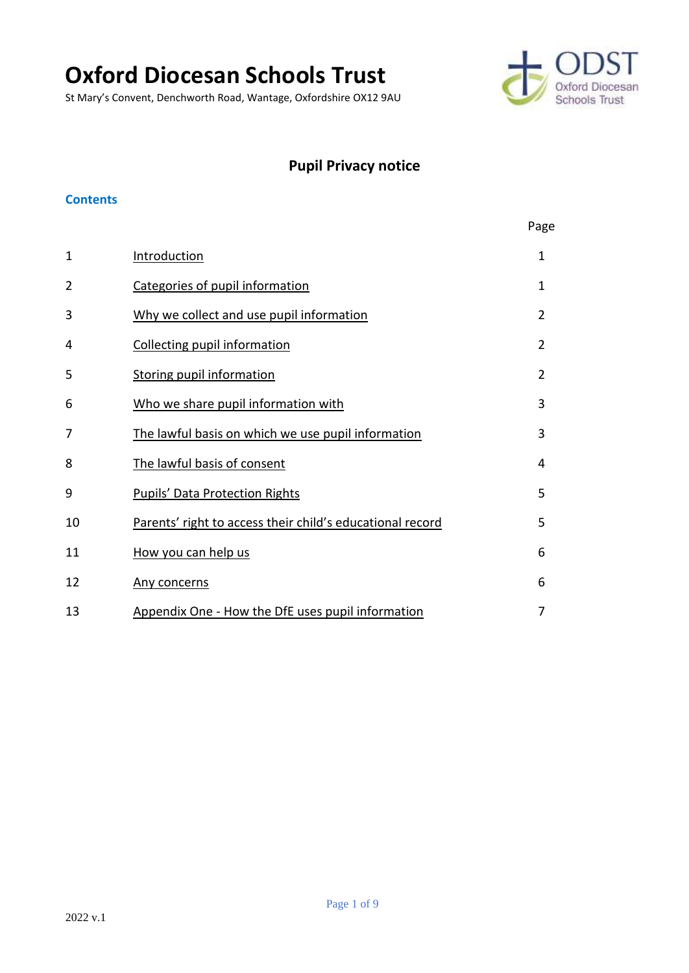# **Oxford Diocesan Schools Trust**

St Mary's Convent, Denchworth Road, Wantage, Oxfordshire OX12 9AU



## **Pupil Privacy notice**

#### **Contents**

|              |                                                           | Page           |
|--------------|-----------------------------------------------------------|----------------|
| $\mathbf{1}$ | Introduction                                              | $\mathbf{1}$   |
| 2            | Categories of pupil information                           | $\mathbf{1}$   |
| 3            | Why we collect and use pupil information                  | $\overline{2}$ |
| 4            | <b>Collecting pupil information</b>                       | $\overline{2}$ |
| 5            | <b>Storing pupil information</b>                          | $\overline{2}$ |
| 6            | Who we share pupil information with                       | 3              |
| 7            | The lawful basis on which we use pupil information        | 3              |
| 8            | The lawful basis of consent                               | 4              |
| 9            | <b>Pupils' Data Protection Rights</b>                     | 5              |
| 10           | Parents' right to access their child's educational record | 5              |
| 11           | How you can help us                                       | 6              |
| 12           | Any concerns                                              | 6              |
| 13           | Appendix One - How the DfE uses pupil information         | 7              |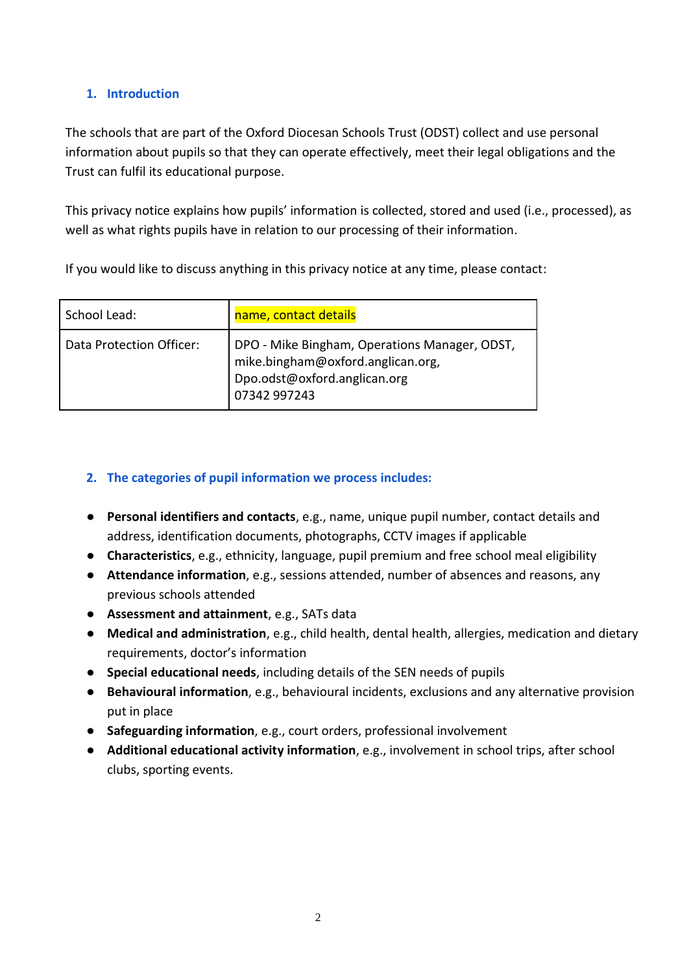## <span id="page-1-0"></span>**1. Introduction**

The schools that are part of the Oxford Diocesan Schools Trust (ODST) collect and use personal information about pupils so that they can operate effectively, meet their legal obligations and the Trust can fulfil its educational purpose.

This privacy notice explains how pupils' information is collected, stored and used (i.e., processed), as well as what rights pupils have in relation to our processing of their information.

If you would like to discuss anything in this privacy notice at any time, please contact:

| School Lead:             | name, contact details                                                                                                              |
|--------------------------|------------------------------------------------------------------------------------------------------------------------------------|
| Data Protection Officer: | DPO - Mike Bingham, Operations Manager, ODST,<br>mike.bingham@oxford.anglican.org,<br>Dpo.odst@oxford.anglican.org<br>07342 997243 |

## <span id="page-1-1"></span>**2. The categories of pupil information we process includes:**

- **Personal identifiers and contacts**, e.g., name, unique pupil number, contact details and address, identification documents, photographs, CCTV images if applicable
- **Characteristics**, e.g., ethnicity, language, pupil premium and free school meal eligibility
- **Attendance information**, e.g., sessions attended, number of absences and reasons, any previous schools attended
- **Assessment and attainment**, e.g., SATs data
- **Medical and administration**, e.g., child health, dental health, allergies, medication and dietary requirements, doctor's information
- **Special educational needs**, including details of the SEN needs of pupils
- **Behavioural information**, e.g., behavioural incidents, exclusions and any alternative provision put in place
- **Safeguarding information**, e.g., court orders, professional involvement
- **Additional educational activity information**, e.g., involvement in school trips, after school clubs, sporting events.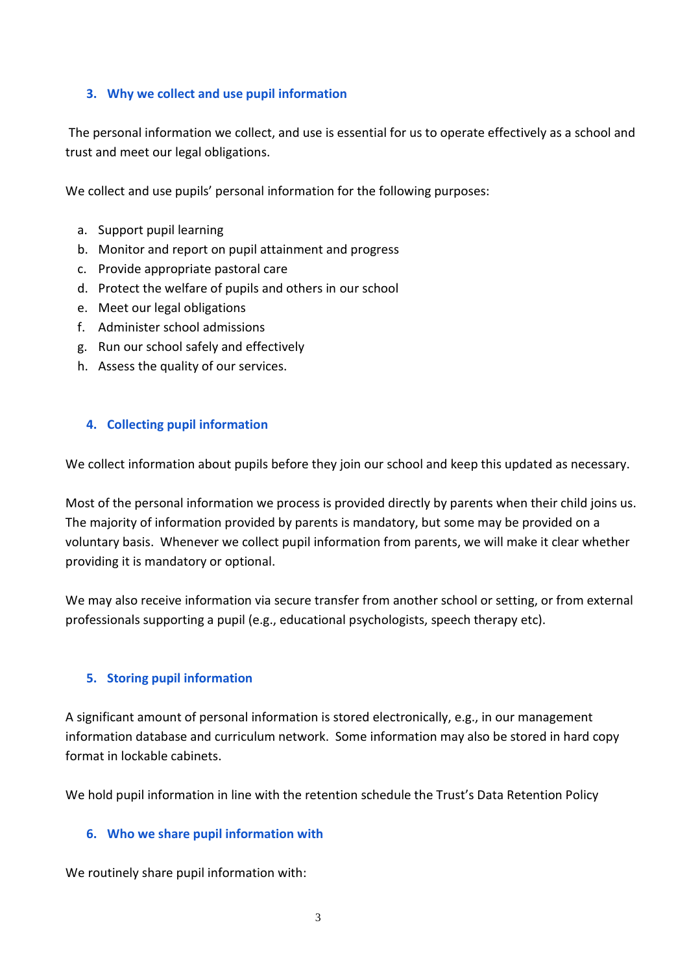## <span id="page-2-0"></span>**3. Why we collect and use pupil information**

The personal information we collect, and use is essential for us to operate effectively as a school and trust and meet our legal obligations.

We collect and use pupils' personal information for the following purposes:

- a. Support pupil learning
- b. Monitor and report on pupil attainment and progress
- c. Provide appropriate pastoral care
- d. Protect the welfare of pupils and others in our school
- e. Meet our legal obligations
- f. Administer school admissions
- g. Run our school safely and effectively
- h. Assess the quality of our services.

#### <span id="page-2-1"></span>**4. Collecting pupil information**

We collect information about pupils before they join our school and keep this updated as necessary.

Most of the personal information we process is provided directly by parents when their child joins us. The majority of information provided by parents is mandatory, but some may be provided on a voluntary basis. Whenever we collect pupil information from parents, we will make it clear whether providing it is mandatory or optional.

We may also receive information via secure transfer from another school or setting, or from external professionals supporting a pupil (e.g., educational psychologists, speech therapy etc).

#### <span id="page-2-2"></span>**5. Storing pupil information**

A significant amount of personal information is stored electronically, e.g., in our management information database and curriculum network. Some information may also be stored in hard copy format in lockable cabinets.

We hold pupil information in line with the retention schedule the Trust's Data Retention Policy

#### <span id="page-2-3"></span>**6. Who we share pupil information with**

We routinely share pupil information with: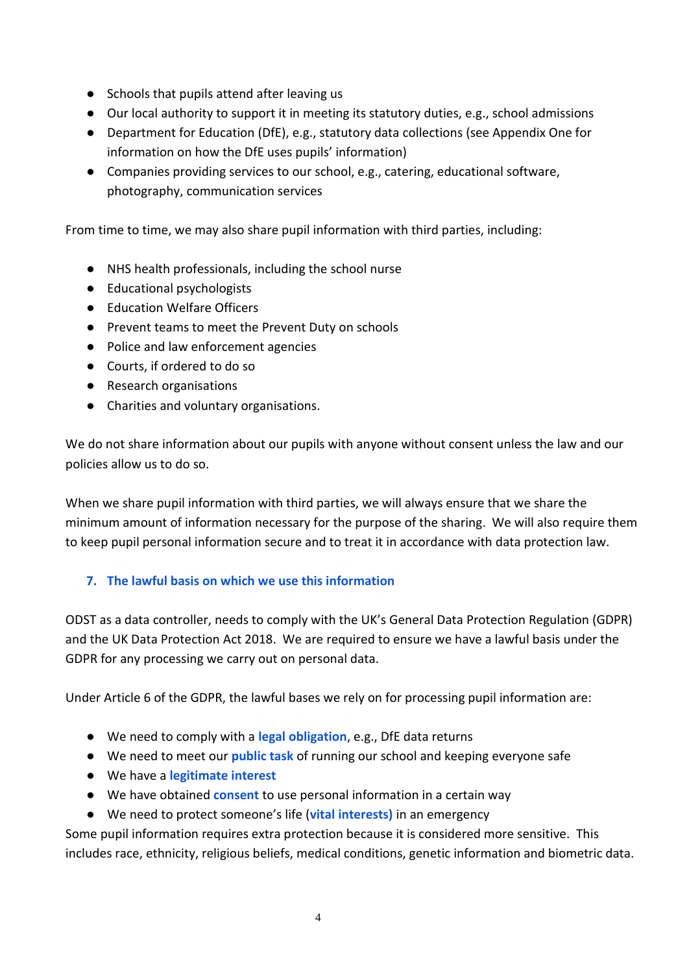- Schools that pupils attend after leaving us
- Our local authority to support it in meeting its statutory duties, e.g., school admissions
- Department for Education (DfE), e.g., statutory data collections (see Appendix One for information on how the DfE uses pupils' information)
- Companies providing services to our school, e.g., catering, educational software, photography, communication services

From time to time, we may also share pupil information with third parties, including:

- NHS health professionals, including the school nurse
- Educational psychologists
- Education Welfare Officers
- Prevent teams to meet the Prevent Duty on schools
- Police and law enforcement agencies
- Courts, if ordered to do so
- Research organisations
- Charities and voluntary organisations.

We do not share information about our pupils with anyone without consent unless the law and our policies allow us to do so.

When we share pupil information with third parties, we will always ensure that we share the minimum amount of information necessary for the purpose of the sharing. We will also require them to keep pupil personal information secure and to treat it in accordance with data protection law.

## <span id="page-3-0"></span>**7. The lawful basis on which we use this information**

ODST as a data controller, needs to comply with the UK's General Data Protection Regulation (GDPR) and the UK Data Protection Act 2018. We are required to ensure we have a lawful basis under the GDPR for any processing we carry out on personal data.

Under Article 6 of the GDPR, the lawful bases we rely on for processing pupil information are:

- We need to comply with a **legal obligation**, e.g., DfE data returns
- We need to meet our **public task** of running our school and keeping everyone safe
- We have a **legitimate interest**
- We have obtained **consent** to use personal information in a certain way
- We need to protect someone's life (**vital interests)** in an emergency

Some pupil information requires extra protection because it is considered more sensitive. This includes race, ethnicity, religious beliefs, medical conditions, genetic information and biometric data.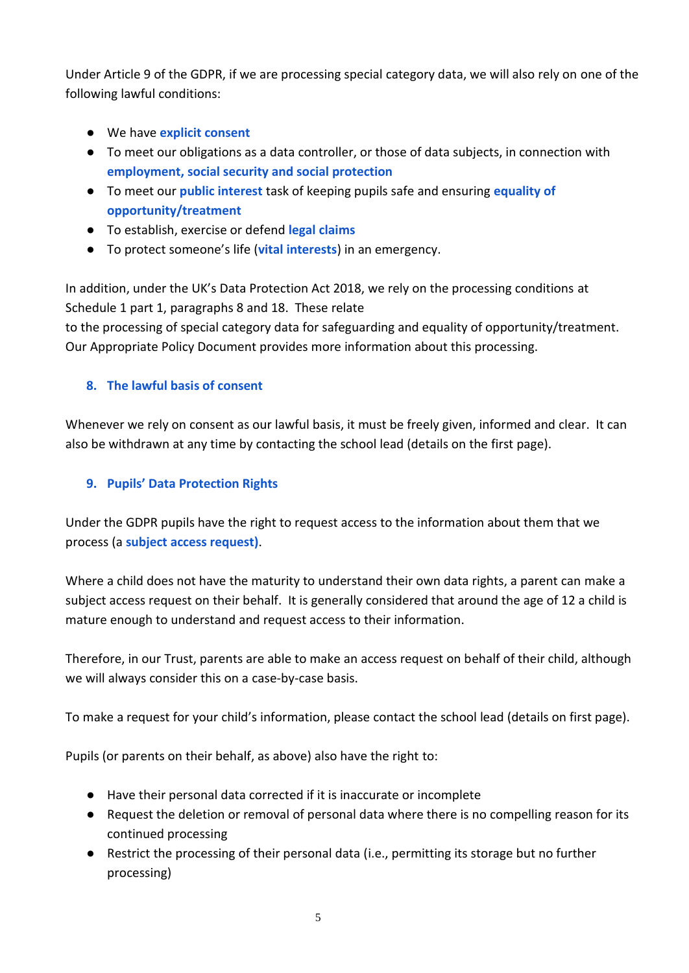Under Article 9 of the GDPR, if we are processing special category data, we will also rely on one of the following lawful conditions:

- We have **explicit consent**
- To meet our obligations as a data controller, or those of data subjects, in connection with **employment, social security and social protection**
- To meet our **public interest** task of keeping pupils safe and ensuring **equality of opportunity/treatment**
- To establish, exercise or defend **legal claims**
- To protect someone's life (**vital interests**) in an emergency.

In addition, under the UK's Data Protection Act 2018, we rely on the processing conditions at Schedule 1 part 1, paragraphs 8 and 18. These relate to the processing of special category data for safeguarding and equality of opportunity/treatment. Our Appropriate Policy Document provides more information about this processing.

## <span id="page-4-0"></span>**8. The lawful basis of consent**

Whenever we rely on consent as our lawful basis, it must be freely given, informed and clear. It can also be withdrawn at any time by contacting the school lead (details on the first page).

## <span id="page-4-1"></span>**9. Pupils' Data Protection Rights**

Under the GDPR pupils have the right to request access to the information about them that we process (a **subject access request)**.

Where a child does not have the maturity to understand their own data rights, a parent can make a subject access request on their behalf. It is generally considered that around the age of 12 a child is mature enough to understand and request access to their information.

Therefore, in our Trust, parents are able to make an access request on behalf of their child, although we will always consider this on a case-by-case basis.

To make a request for your child's information, please contact the school lead (details on first page).

Pupils (or parents on their behalf, as above) also have the right to:

- Have their personal data corrected if it is inaccurate or incomplete
- Request the deletion or removal of personal data where there is no compelling reason for its continued processing
- Restrict the processing of their personal data (i.e., permitting its storage but no further processing)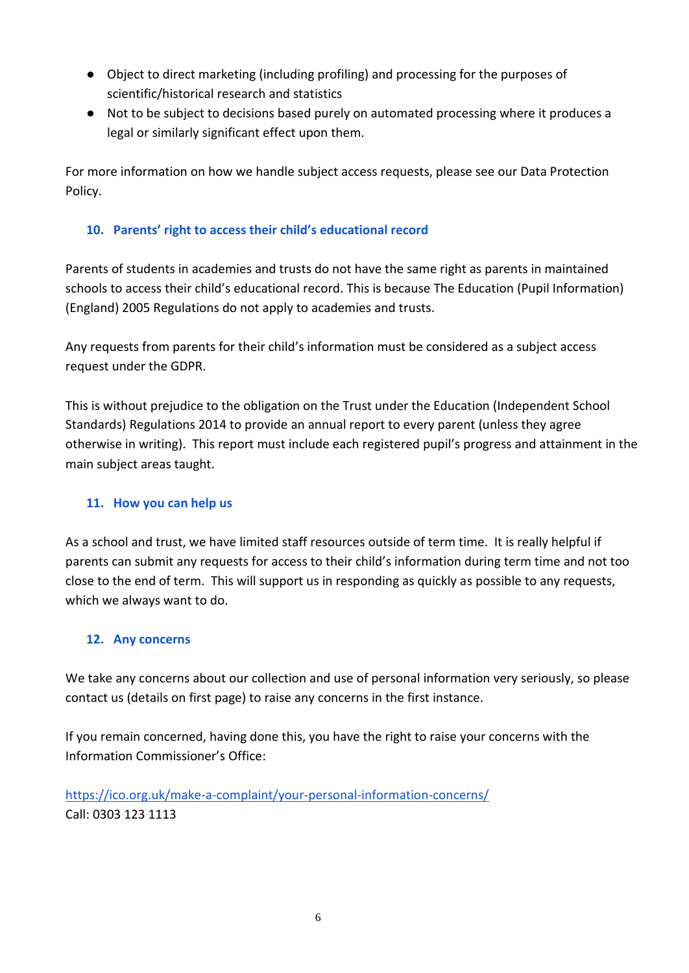- Object to direct marketing (including profiling) and processing for the purposes of scientific/historical research and statistics
- Not to be subject to decisions based purely on automated processing where it produces a legal or similarly significant effect upon them.

For more information on how we handle subject access requests, please see our Data Protection Policy.

## <span id="page-5-0"></span>**10. Parents' right to access their child's educational record**

Parents of students in academies and trusts do not have the same right as parents in maintained schools to access their child's educational record. This is because The Education (Pupil Information) (England) 2005 Regulations do not apply to academies and trusts.

Any requests from parents for their child's information must be considered as a subject access request under the GDPR.

This is without prejudice to the obligation on the Trust under the Education (Independent School Standards) Regulations 2014 to provide an annual report to every parent (unless they agree otherwise in writing). This report must include each registered pupil's progress and attainment in the main subject areas taught.

## <span id="page-5-1"></span>**11. How you can help us**

As a school and trust, we have limited staff resources outside of term time. It is really helpful if parents can submit any requests for access to their child's information during term time and not too close to the end of term. This will support us in responding as quickly as possible to any requests, which we always want to do.

## <span id="page-5-2"></span>**12. Any concerns**

We take any concerns about our collection and use of personal information very seriously, so please contact us (details on first page) to raise any concerns in the first instance.

If you remain concerned, having done this, you have the right to raise your concerns with the Information Commissioner's Office:

<https://ico.org.uk/make-a-complaint/your-personal-information-concerns/> Call: 0303 123 1113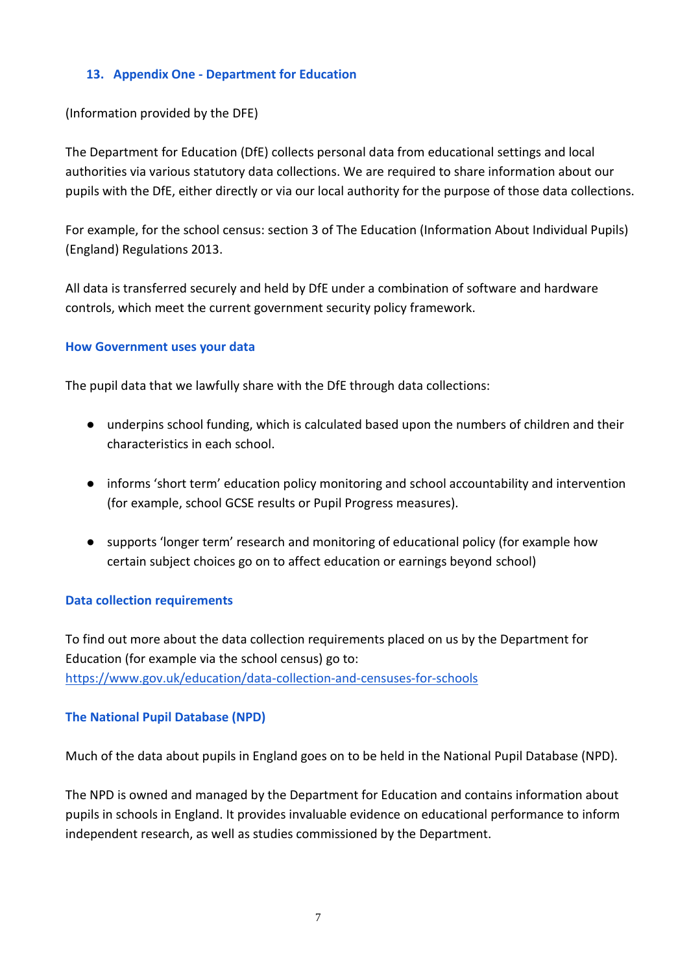#### <span id="page-6-0"></span>**13. Appendix One - Department for Education**

#### (Information provided by the DFE)

The Department for Education (DfE) collects personal data from educational settings and local authorities via various statutory data collections. We are required to share information about our pupils with the DfE, either directly or via our local authority for the purpose of those data collections.

For example, for the school census: section 3 of The Education (Information About Individual Pupils) (England) Regulations 2013.

All data is transferred securely and held by DfE under a combination of software and hardware controls, which meet the current government security policy framework.

#### **How Government uses your data**

The pupil data that we lawfully share with the DfE through data collections:

- underpins school funding, which is calculated based upon the numbers of children and their characteristics in each school.
- informs 'short term' education policy monitoring and school accountability and intervention (for example, school GCSE results or Pupil Progress measures).
- supports 'longer term' research and monitoring of educational policy (for example how certain subject choices go on to affect education or earnings beyond school)

#### **Data collection requirements**

To find out more about the data collection requirements placed on us by the Department for Education (for example via the school census) go to: <https://www.gov.uk/education/data-collection-and-censuses-for-schools>

#### **The National Pupil Database (NPD)**

Much of the data about pupils in England goes on to be held in the National Pupil Database (NPD).

The NPD is owned and managed by the Department for Education and contains information about pupils in schools in England. It provides invaluable evidence on educational performance to inform independent research, as well as studies commissioned by the Department.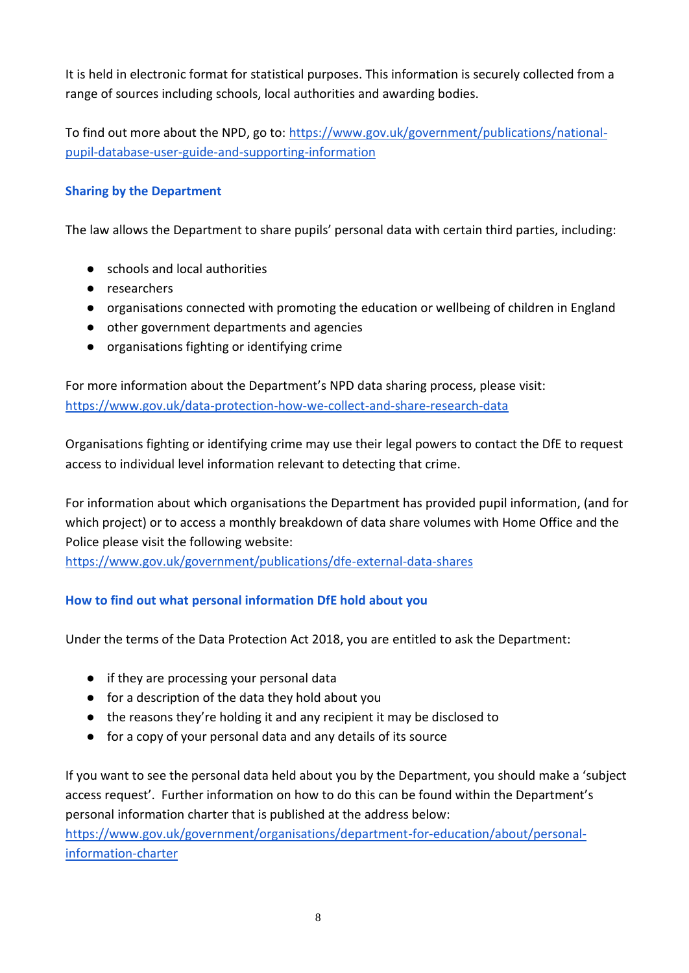It is held in electronic format for statistical purposes. This information is securely collected from a range of sources including schools, local authorities and awarding bodies.

To find out more about the NPD, go to: [https://www.gov.uk/government/publications/national](https://www.gov.uk/government/publications/national-pupil-database-user-guide-and-supporting-information)[pupil-database-user-guide-and-supporting-information](https://www.gov.uk/government/publications/national-pupil-database-user-guide-and-supporting-information)

## **Sharing by the Department**

The law allows the Department to share pupils' personal data with certain third parties, including:

- schools and local authorities
- researchers
- organisations connected with promoting the education or wellbeing of children in England
- other government departments and agencies
- organisations fighting or identifying crime

For more information about the Department's NPD data sharing process, please visit: <https://www.gov.uk/data-protection-how-we-collect-and-share-research-data>

Organisations fighting or identifying crime may use their legal powers to contact the DfE to request access to individual level information relevant to detecting that crime.

For information about which organisations the Department has provided pupil information, (and for which project) or to access a monthly breakdown of data share volumes with Home Office and the Police please visit the following website:

<https://www.gov.uk/government/publications/dfe-external-data-shares>

#### **How to find out what personal information DfE hold about you**

Under the terms of the Data Protection Act 2018, you are entitled to ask the Department:

- if they are processing your personal data
- for a description of the data they hold about you
- the reasons they're holding it and any recipient it may be disclosed to
- for a copy of your personal data and any details of its source

If you want to see the personal data held about you by the Department, you should make a 'subject access request'. Further information on how to do this can be found within the Department's personal information charter that is published at the address below: [https://www.gov.uk/government/organisations/department-for-education/about/personal](https://www.gov.uk/government/organisations/department-for-education/about/personal-information-charter)[information-charter](https://www.gov.uk/government/organisations/department-for-education/about/personal-information-charter)